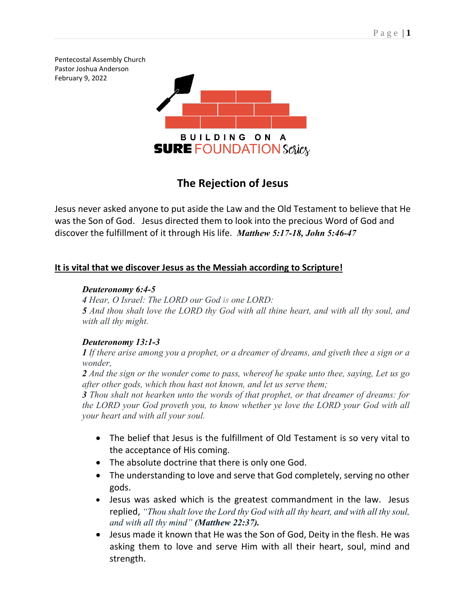Pentecostal Assembly Church Pastor Joshua Anderson February 9, 2022



# **The Rejection of Jesus**

Jesus never asked anyone to put aside the Law and the Old Testament to believe that He was the Son of God. Jesus directed them to look into the precious Word of God and discover the fulfillment of it through His life. *Matthew 5:17-18, John 5:46-47*

## **It is vital that we discover Jesus as the Messiah according to Scripture!**

## *Deuteronomy 6:4-5*

*4 Hear, O Israel: The LORD our God is one LORD:*

*5 And thou shalt love the LORD thy God with all thine heart, and with all thy soul, and with all thy might.*

## *Deuteronomy 13:1-3*

*1 If there arise among you a prophet, or a dreamer of dreams, and giveth thee a sign or a wonder,*

*2 And the sign or the wonder come to pass, whereof he spake unto thee, saying, Let us go after other gods, which thou hast not known, and let us serve them;*

*3 Thou shalt not hearken unto the words of that prophet, or that dreamer of dreams: for the LORD your God proveth you, to know whether ye love the LORD your God with all your heart and with all your soul.*

- The belief that Jesus is the fulfillment of Old Testament is so very vital to the acceptance of His coming.
- The absolute doctrine that there is only one God.
- The understanding to love and serve that God completely, serving no other gods.
- Jesus was asked which is the greatest commandment in the law. Jesus replied, *"Thou shalt love the Lord thy God with all thy heart, and with all thy soul, and with all thy mind" (Matthew 22:37).*
- Jesus made it known that He was the Son of God, Deity in the flesh. He was asking them to love and serve Him with all their heart, soul, mind and strength.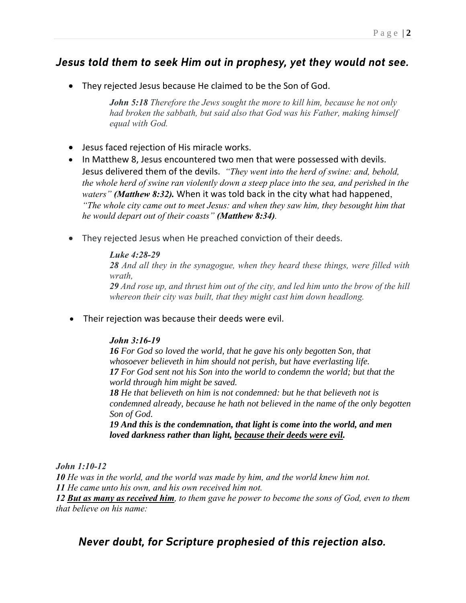# *Jesus told them to seek Him out in prophesy, yet they would not see.*

• They rejected Jesus because He claimed to be the Son of God.

*John 5:18 Therefore the Jews sought the more to kill him, because he not only had broken the sabbath, but said also that God was his Father, making himself equal with God.*

- Jesus faced rejection of His miracle works.
- In Matthew 8, Jesus encountered two men that were possessed with devils. Jesus delivered them of the devils. *"They went into the herd of swine: and, behold, the whole herd of swine ran violently down a steep place into the sea, and perished in the waters" (Matthew 8:32).* When it was told back in the city what had happened, *"The whole city came out to meet Jesus: and when they saw him, they besought him that he would depart out of their coasts" (Matthew 8:34).*
- They rejected Jesus when He preached conviction of their deeds.

## *Luke 4:28-29*

*28 And all they in the synagogue, when they heard these things, were filled with wrath,*

*29 And rose up, and thrust him out of the city, and led him unto the brow of the hill whereon their city was built, that they might cast him down headlong.*

• Their rejection was because their deeds were evil.

## *John 3:16-19*

*16 For God so loved the world, that he gave his only begotten Son, that whosoever believeth in him should not perish, but have everlasting life. 17 For God sent not his Son into the world to condemn the world; but that the world through him might be saved.*

*18 He that believeth on him is not condemned: but he that believeth not is condemned already, because he hath not believed in the name of the only begotten Son of God.*

*19 And this is the condemnation, that light is come into the world, and men loved darkness rather than light, because their deeds were evil.*

*John 1:10-12*

*10 He was in the world, and the world was made by him, and the world knew him not. 11 He came unto his own, and his own received him not.*

*12 But as many as received him, to them gave he power to become the sons of God, even to them that believe on his name:*

# *Never doubt, for Scripture prophesied of this rejection also.*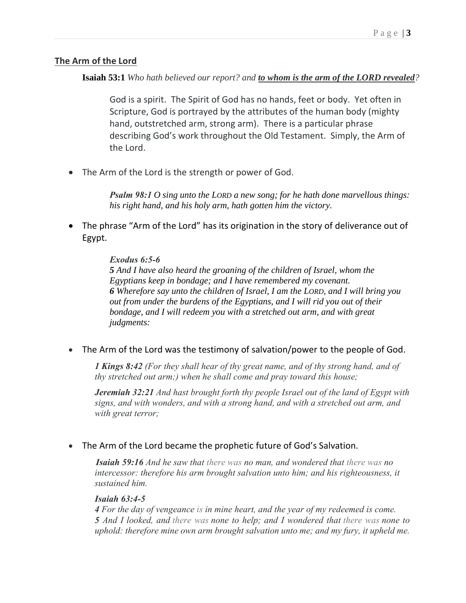## **The Arm of the Lord**

**Isaiah 53:1** *Who hath believed our report? and to whom is the arm of the LORD revealed?*

God is a spirit. The Spirit of God has no hands, feet or body. Yet often in Scripture, God is portrayed by the attributes of the human body (mighty hand, outstretched arm, strong arm). There is a particular phrase describing God's work throughout the Old Testament. Simply, the Arm of the Lord.

• The Arm of the Lord is the strength or power of God.

*Psalm 98:1 O sing unto the LORD a new song; for he hath done marvellous things: his right hand, and his holy arm, hath gotten him the victory.*

• The phrase "Arm of the Lord" has its origination in the story of deliverance out of Egypt.

## *Exodus 6:5-6*

*5 And I have also heard the groaning of the children of Israel, whom the Egyptians keep in bondage; and I have remembered my covenant. 6 Wherefore say unto the children of Israel, I am the LORD, and I will bring you out from under the burdens of the Egyptians, and I will rid you out of their bondage, and I will redeem you with a stretched out arm, and with great judgments:*

• The Arm of the Lord was the testimony of salvation/power to the people of God.

*1 Kings 8:42 (For they shall hear of thy great name, and of thy strong hand, and of thy stretched out arm;) when he shall come and pray toward this house;*

*Jeremiah 32:21 And hast brought forth thy people Israel out of the land of Egypt with signs, and with wonders, and with a strong hand, and with a stretched out arm, and with great terror;*

• The Arm of the Lord became the prophetic future of God's Salvation.

*Isaiah 59:16 And he saw that there was no man, and wondered that there was no intercessor: therefore his arm brought salvation unto him; and his righteousness, it sustained him.*

#### *Isaiah 63:4-5*

*4 For the day of vengeance is in mine heart, and the year of my redeemed is come. 5 And I looked, and there was none to help; and I wondered that there was none to uphold: therefore mine own arm brought salvation unto me; and my fury, it upheld me.*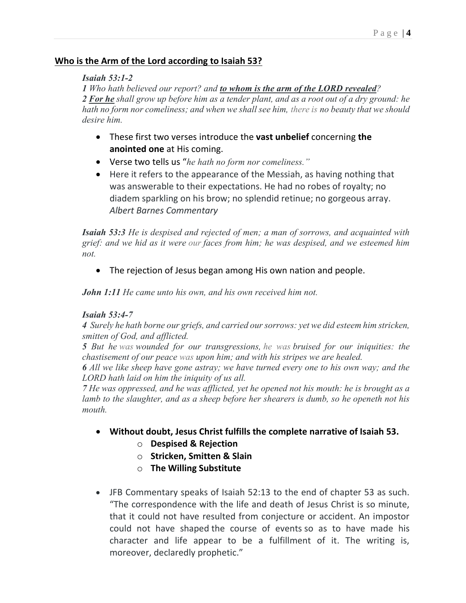## **Who is the Arm of the Lord according to Isaiah 53?**

### *Isaiah 53:1-2*

*1 Who hath believed our report? and to whom is the arm of the LORD revealed? 2 For he shall grow up before him as a tender plant, and as a root out of a dry ground: he hath no form nor comeliness; and when we shall see him, there is no beauty that we should desire him.*

- These first two verses introduce the **vast unbelief** concerning **the anointed one** at His coming.
- Verse two tells us "*he hath no form nor comeliness."*
- Here it refers to the appearance of the Messiah, as having nothing that was answerable to their expectations. He had no robes of royalty; no diadem sparkling on his brow; no splendid retinue; no gorgeous array. *Albert Barnes Commentary*

*Isaiah 53:3 He is despised and rejected of men; a man of sorrows, and acquainted with grief: and we hid as it were our faces from him; he was despised, and we esteemed him not.*

• The rejection of Jesus began among His own nation and people.

*John 1:11 He came unto his own, and his own received him not.*

## *Isaiah 53:4-7*

*4 Surely he hath borne our griefs, and carried our sorrows: yet we did esteem him stricken, smitten of God, and afflicted.*

*5 But he was wounded for our transgressions, he was bruised for our iniquities: the chastisement of our peace was upon him; and with his stripes we are healed.*

*6 All we like sheep have gone astray; we have turned every one to his own way; and the LORD hath laid on him the iniquity of us all.*

*7 He was oppressed, and he was afflicted, yet he opened not his mouth: he is brought as a lamb to the slaughter, and as a sheep before her shearers is dumb, so he openeth not his mouth.*

- **Without doubt, Jesus Christ fulfills the complete narrative of Isaiah 53.**
	- o **Despised & Rejection**
	- o **Stricken, Smitten & Slain**
	- o **The Willing Substitute**
- JFB Commentary speaks of Isaiah 52:13 to the end of chapter 53 as such. "The correspondence with the life and death of Jesus Christ is so minute, that it could not have resulted from conjecture or accident. An impostor could not have shaped the course of events so as to have made his character and life appear to be a fulfillment of it. The writing is, moreover, declaredly prophetic."